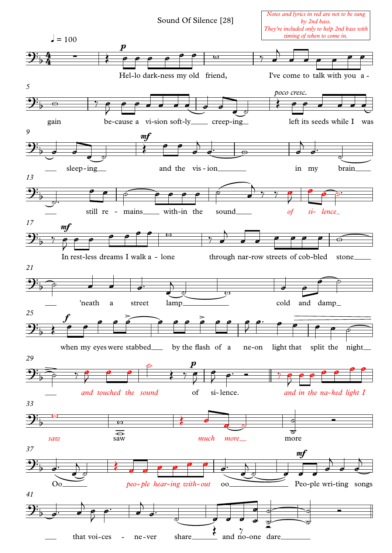